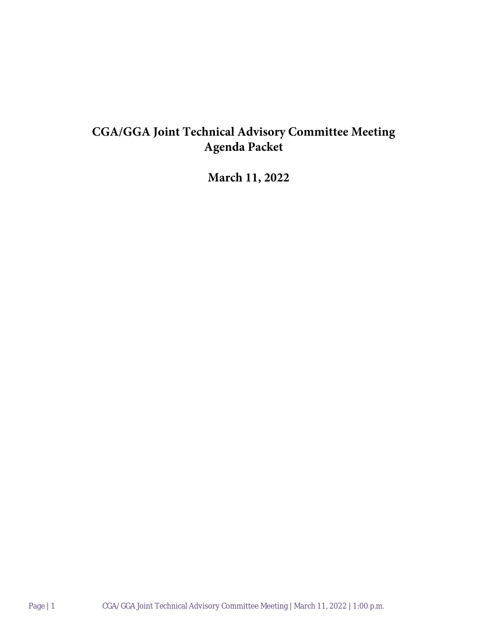## **CGA/GGA Joint Technical Advisory Committee Meeting Agenda Packet**

**March 11, 2022**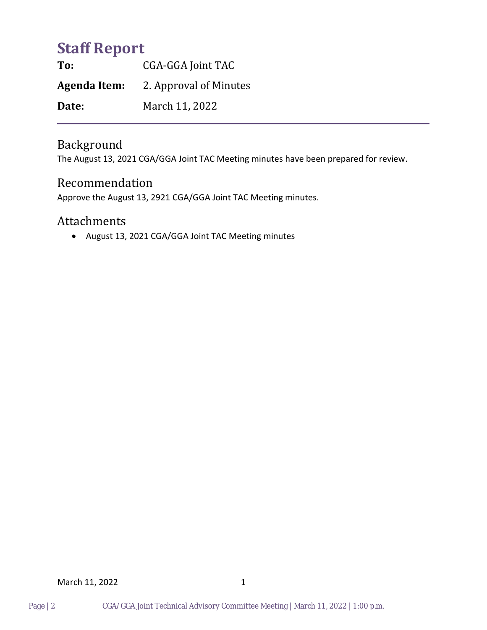# **Staff Report**

**To:** CGA-GGA Joint TAC **Agenda Item:** 2. Approval of Minutes **Date:** March 11, 2022

## Background

The August 13, 2021 CGA/GGA Joint TAC Meeting minutes have been prepared for review.

### Recommendation

Approve the August 13, 2921 CGA/GGA Joint TAC Meeting minutes.

### Attachments

• August 13, 2021 CGA/GGA Joint TAC Meeting minutes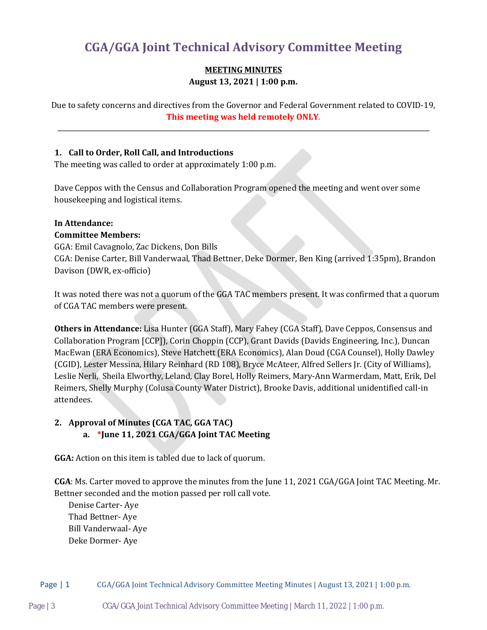## **CGA/GGA Joint Technical Advisory Committee Meeting**

#### **MEETING MINUTES August 13, 2021 | 1:00 p.m.**

Due to safety concerns and directives from the Governor and Federal Government related to COVID-19, **This meeting was held remotely ONLY**.

#### **1. Call to Order, Roll Call, and Introductions**

The meeting was called to order at approximately 1:00 p.m.

Dave Ceppos with the Census and Collaboration Program opened the meeting and went over some housekeeping and logistical items.

#### **In Attendance:**

#### **Committee Members:**

GGA: Emil Cavagnolo, Zac Dickens, Don Bills CGA: Denise Carter, Bill Vanderwaal, Thad Bettner, Deke Dormer, Ben King (arrived 1:35pm), Brandon Davison (DWR, ex-officio)

It was noted there was not a quorum of the GGA TAC members present. It was confirmed that a quorum of CGA TAC members were present.

**Others in Attendance:** Lisa Hunter (GGA Staff), Mary Fahey (CGA Staff), Dave Ceppos, Consensus and Collaboration Program [CCP]), Corin Choppin (CCP), Grant Davids (Davids Engineering, Inc.), Duncan MacEwan (ERA Economics), Steve Hatchett (ERA Economics), Alan Doud (CGA Counsel), Holly Dawley (CGID), Lester Messina, Hilary Reinhard (RD 108), Bryce McAteer, Alfred Sellers Jr. (City of Williams), Leslie Nerli, Sheila Elworthy, Leland, Clay Borel, Holly Reimers, Mary-Ann Warmerdam, Matt, Erik, Del Reimers, Shelly Murphy (Colusa County Water District), Brooke Davis, additional unidentified call-in attendees.

#### **2. Approval of Minutes (CGA TAC, GGA TAC) a. \*June 11, 2021 CGA/GGA Joint TAC Meeting**

**GGA:** Action on this item is tabled due to lack of quorum.

**CGA**: Ms. Carter moved to approve the minutes from the June 11, 2021 CGA/GGA Joint TAC Meeting. Mr. Bettner seconded and the motion passed per roll call vote.

Denise Carter- Aye Thad Bettner- Aye Bill Vanderwaal- Aye Deke Dormer- Aye

Page | 1 CGA/GGA Joint Technical Advisory Committee Meeting Minutes | August 13, 2021 | 1:00 p.m.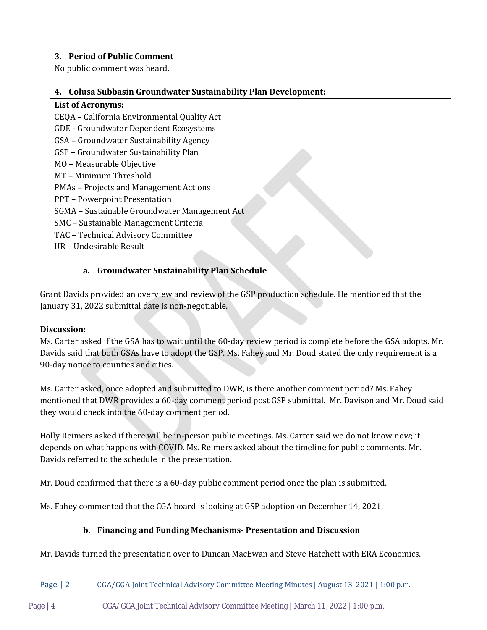#### **3. Period of Public Comment**

No public comment was heard.

#### **4. Colusa Subbasin Groundwater Sustainability Plan Development:**

**List of Acronyms:** CEQA – California Environmental Quality Act GDE - Groundwater Dependent Ecosystems GSA – Groundwater Sustainability Agency GSP – Groundwater Sustainability Plan MO – Measurable Objective MT – Minimum Threshold PMAs – Projects and Management Actions PPT – Powerpoint Presentation SGMA – Sustainable Groundwater Management Act SMC – Sustainable Management Criteria TAC – Technical Advisory Committee UR – Undesirable Result

#### **a. Groundwater Sustainability Plan Schedule**

Grant Davids provided an overview and review of the GSP production schedule. He mentioned that the January 31, 2022 submittal date is non-negotiable.

#### **Discussion:**

Ms. Carter asked if the GSA has to wait until the 60-day review period is complete before the GSA adopts. Mr. Davids said that both GSAs have to adopt the GSP. Ms. Fahey and Mr. Doud stated the only requirement is a 90-day notice to counties and cities.

Ms. Carter asked, once adopted and submitted to DWR, is there another comment period? Ms. Fahey mentioned that DWR provides a 60-day comment period post GSP submittal. Mr. Davison and Mr. Doud said they would check into the 60-day comment period.

Holly Reimers asked if there will be in-person public meetings. Ms. Carter said we do not know now; it depends on what happens with COVID. Ms. Reimers asked about the timeline for public comments. Mr. Davids referred to the schedule in the presentation.

Mr. Doud confirmed that there is a 60-day public comment period once the plan is submitted.

Ms. Fahey commented that the CGA board is looking at GSP adoption on December 14, 2021.

#### **b. Financing and Funding Mechanisms- Presentation and Discussion**

Mr. Davids turned the presentation over to Duncan MacEwan and Steve Hatchett with ERA Economics.

#### Page | 2 CGA/GGA Joint Technical Advisory Committee Meeting Minutes | August 13, 2021 | 1:00 p.m.

Page | 4 CGA/GGA Joint Technical Advisory Committee Meeting | March 11, 2022 | 1:00 p.m.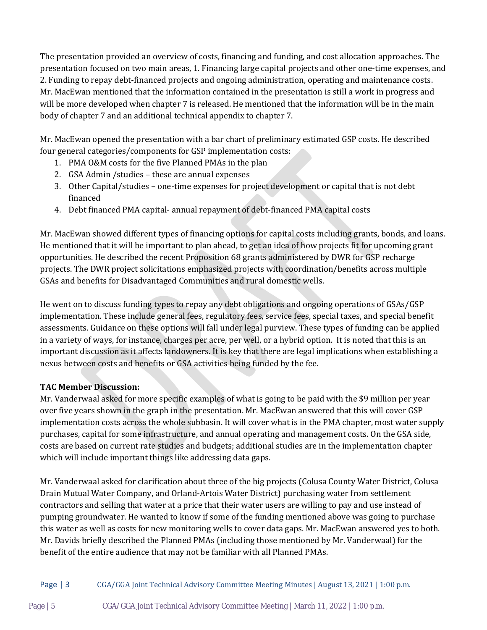The presentation provided an overview of costs, financing and funding, and cost allocation approaches. The presentation focused on two main areas, 1. Financing large capital projects and other one-time expenses, and 2. Funding to repay debt-financed projects and ongoing administration, operating and maintenance costs. Mr. MacEwan mentioned that the information contained in the presentation is still a work in progress and will be more developed when chapter 7 is released. He mentioned that the information will be in the main body of chapter 7 and an additional technical appendix to chapter 7.

Mr. MacEwan opened the presentation with a bar chart of preliminary estimated GSP costs. He described four general categories/components for GSP implementation costs:

- 1. PMA O&M costs for the five Planned PMAs in the plan
- 2. GSA Admin /studies these are annual expenses
- 3. Other Capital/studies one-time expenses for project development or capital that is not debt financed
- 4. Debt financed PMA capital- annual repayment of debt-financed PMA capital costs

Mr. MacEwan showed different types of financing options for capital costs including grants, bonds, and loans. He mentioned that it will be important to plan ahead, to get an idea of how projects fit for upcoming grant opportunities. He described the recent Proposition 68 grants administered by DWR for GSP recharge projects. The DWR project solicitations emphasized projects with coordination/benefits across multiple GSAs and benefits for Disadvantaged Communities and rural domestic wells.

He went on to discuss funding types to repay any debt obligations and ongoing operations of GSAs/GSP implementation. These include general fees, regulatory fees, service fees, special taxes, and special benefit assessments. Guidance on these options will fall under legal purview. These types of funding can be applied in a variety of ways, for instance, charges per acre, per well, or a hybrid option. It is noted that this is an important discussion as it affects landowners. It is key that there are legal implications when establishing a nexus between costs and benefits or GSA activities being funded by the fee.

#### **TAC Member Discussion:**

Mr. Vanderwaal asked for more specific examples of what is going to be paid with the \$9 million per year over five years shown in the graph in the presentation. Mr. MacEwan answered that this will cover GSP implementation costs across the whole subbasin. It will cover what is in the PMA chapter, most water supply purchases, capital for some infrastructure, and annual operating and management costs. On the GSA side, costs are based on current rate studies and budgets; additional studies are in the implementation chapter which will include important things like addressing data gaps.

Mr. Vanderwaal asked for clarification about three of the big projects (Colusa County Water District, Colusa Drain Mutual Water Company, and Orland-Artois Water District) purchasing water from settlement contractors and selling that water at a price that their water users are willing to pay and use instead of pumping groundwater. He wanted to know if some of the funding mentioned above was going to purchase this water as well as costs for new monitoring wells to cover data gaps. Mr. MacEwan answered yes to both. Mr. Davids briefly described the Planned PMAs (including those mentioned by Mr. Vanderwaal) for the benefit of the entire audience that may not be familiar with all Planned PMAs.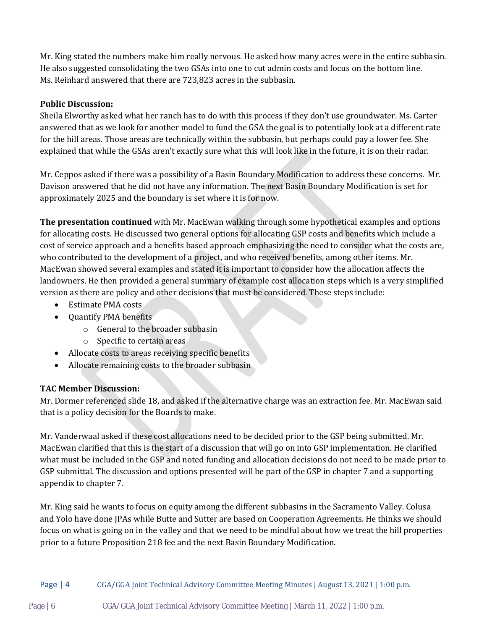Mr. King stated the numbers make him really nervous. He asked how many acres were in the entire subbasin. He also suggested consolidating the two GSAs into one to cut admin costs and focus on the bottom line. Ms. Reinhard answered that there are 723,823 acres in the subbasin.

#### **Public Discussion:**

Sheila Elworthy asked what her ranch has to do with this process if they don't use groundwater. Ms. Carter answered that as we look for another model to fund the GSA the goal is to potentially look at a different rate for the hill areas. Those areas are technically within the subbasin, but perhaps could pay a lower fee. She explained that while the GSAs aren't exactly sure what this will look like in the future, it is on their radar.

Mr. Ceppos asked if there was a possibility of a Basin Boundary Modification to address these concerns. Mr. Davison answered that he did not have any information. The next Basin Boundary Modification is set for approximately 2025 and the boundary is set where it is for now.

**The presentation continued** with Mr. MacEwan walking through some hypothetical examples and options for allocating costs. He discussed two general options for allocating GSP costs and benefits which include a cost of service approach and a benefits based approach emphasizing the need to consider what the costs are, who contributed to the development of a project, and who received benefits, among other items. Mr. MacEwan showed several examples and stated it is important to consider how the allocation affects the landowners. He then provided a general summary of example cost allocation steps which is a very simplified version as there are policy and other decisions that must be considered. These steps include:

- Estimate PMA costs
- Ouantify PMA benefits
	- o General to the broader subbasin
	- o Specific to certain areas
- Allocate costs to areas receiving specific benefits
- Allocate remaining costs to the broader subbasin

#### **TAC Member Discussion:**

Mr. Dormer referenced slide 18, and asked if the alternative charge was an extraction fee. Mr. MacEwan said that is a policy decision for the Boards to make.

Mr. Vanderwaal asked if these cost allocations need to be decided prior to the GSP being submitted. Mr. MacEwan clarified that this is the start of a discussion that will go on into GSP implementation. He clarified what must be included in the GSP and noted funding and allocation decisions do not need to be made prior to GSP submittal. The discussion and options presented will be part of the GSP in chapter 7 and a supporting appendix to chapter 7.

Mr. King said he wants to focus on equity among the different subbasins in the Sacramento Valley. Colusa and Yolo have done JPAs while Butte and Sutter are based on Cooperation Agreements. He thinks we should focus on what is going on in the valley and that we need to be mindful about how we treat the hill properties prior to a future Proposition 218 fee and the next Basin Boundary Modification.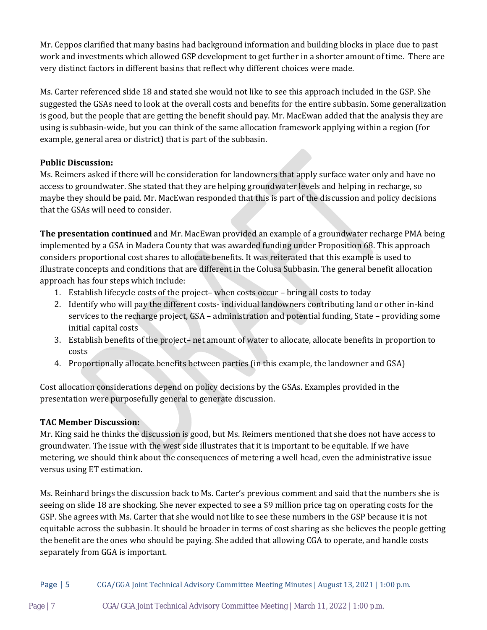Mr. Ceppos clarified that many basins had background information and building blocks in place due to past work and investments which allowed GSP development to get further in a shorter amount of time. There are very distinct factors in different basins that reflect why different choices were made.

Ms. Carter referenced slide 18 and stated she would not like to see this approach included in the GSP. She suggested the GSAs need to look at the overall costs and benefits for the entire subbasin. Some generalization is good, but the people that are getting the benefit should pay. Mr. MacEwan added that the analysis they are using is subbasin-wide, but you can think of the same allocation framework applying within a region (for example, general area or district) that is part of the subbasin.

#### **Public Discussion:**

Ms. Reimers asked if there will be consideration for landowners that apply surface water only and have no access to groundwater. She stated that they are helping groundwater levels and helping in recharge, so maybe they should be paid. Mr. MacEwan responded that this is part of the discussion and policy decisions that the GSAs will need to consider.

**The presentation continued** and Mr. MacEwan provided an example of a groundwater recharge PMA being implemented by a GSA in Madera County that was awarded funding under Proposition 68. This approach considers proportional cost shares to allocate benefits. It was reiterated that this example is used to illustrate concepts and conditions that are different in the Colusa Subbasin. The general benefit allocation approach has four steps which include:

- 1. Establish lifecycle costs of the project– when costs occur bring all costs to today
- 2. Identify who will pay the different costs- individual landowners contributing land or other in-kind services to the recharge project, GSA – administration and potential funding, State – providing some initial capital costs
- 3. Establish benefits of the project– net amount of water to allocate, allocate benefits in proportion to costs
- 4. Proportionally allocate benefits between parties (in this example, the landowner and GSA)

Cost allocation considerations depend on policy decisions by the GSAs. Examples provided in the presentation were purposefully general to generate discussion.

#### **TAC Member Discussion:**

Mr. King said he thinks the discussion is good, but Ms. Reimers mentioned that she does not have access to groundwater. The issue with the west side illustrates that it is important to be equitable. If we have metering, we should think about the consequences of metering a well head, even the administrative issue versus using ET estimation.

Ms. Reinhard brings the discussion back to Ms. Carter's previous comment and said that the numbers she is seeing on slide 18 are shocking. She never expected to see a \$9 million price tag on operating costs for the GSP. She agrees with Ms. Carter that she would not like to see these numbers in the GSP because it is not equitable across the subbasin. It should be broader in terms of cost sharing as she believes the people getting the benefit are the ones who should be paying. She added that allowing CGA to operate, and handle costs separately from GGA is important.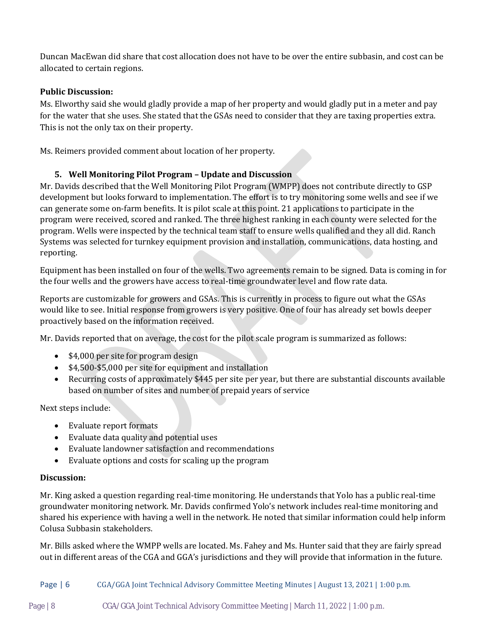Duncan MacEwan did share that cost allocation does not have to be over the entire subbasin, and cost can be allocated to certain regions.

#### **Public Discussion:**

Ms. Elworthy said she would gladly provide a map of her property and would gladly put in a meter and pay for the water that she uses. She stated that the GSAs need to consider that they are taxing properties extra. This is not the only tax on their property.

Ms. Reimers provided comment about location of her property.

#### **5. Well Monitoring Pilot Program – Update and Discussion**

Mr. Davids described that the Well Monitoring Pilot Program (WMPP) does not contribute directly to GSP development but looks forward to implementation. The effort is to try monitoring some wells and see if we can generate some on-farm benefits. It is pilot scale at this point. 21 applications to participate in the program were received, scored and ranked. The three highest ranking in each county were selected for the program. Wells were inspected by the technical team staff to ensure wells qualified and they all did. Ranch Systems was selected for turnkey equipment provision and installation, communications, data hosting, and reporting.

Equipment has been installed on four of the wells. Two agreements remain to be signed. Data is coming in for the four wells and the growers have access to real-time groundwater level and flow rate data.

Reports are customizable for growers and GSAs. This is currently in process to figure out what the GSAs would like to see. Initial response from growers is very positive. One of four has already set bowls deeper proactively based on the information received.

Mr. Davids reported that on average, the cost for the pilot scale program is summarized as follows:

- \$4,000 per site for program design
- \$4,500-\$5,000 per site for equipment and installation
- Recurring costs of approximately \$445 per site per year, but there are substantial discounts available based on number of sites and number of prepaid years of service

Next steps include:

- Evaluate report formats
- Evaluate data quality and potential uses
- Evaluate landowner satisfaction and recommendations
- Evaluate options and costs for scaling up the program

#### **Discussion:**

Mr. King asked a question regarding real-time monitoring. He understands that Yolo has a public real-time groundwater monitoring network. Mr. Davids confirmed Yolo's network includes real-time monitoring and shared his experience with having a well in the network. He noted that similar information could help inform Colusa Subbasin stakeholders.

Mr. Bills asked where the WMPP wells are located. Ms. Fahey and Ms. Hunter said that they are fairly spread out in different areas of the CGA and GGA's jurisdictions and they will provide that information in the future.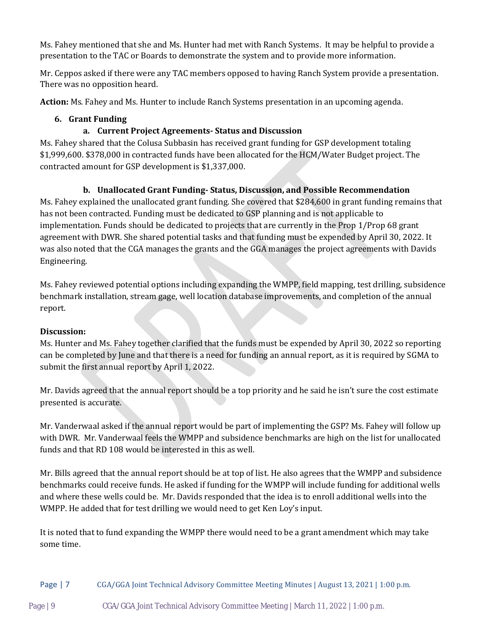Ms. Fahey mentioned that she and Ms. Hunter had met with Ranch Systems. It may be helpful to provide a presentation to the TAC or Boards to demonstrate the system and to provide more information.

Mr. Ceppos asked if there were any TAC members opposed to having Ranch System provide a presentation. There was no opposition heard.

**Action:** Ms. Fahey and Ms. Hunter to include Ranch Systems presentation in an upcoming agenda.

#### **6. Grant Funding**

#### **a. Current Project Agreements- Status and Discussion**

Ms. Fahey shared that the Colusa Subbasin has received grant funding for GSP development totaling \$1,999,600. \$378,000 in contracted funds have been allocated for the HCM/Water Budget project. The contracted amount for GSP development is \$1,337,000.

#### **b. Unallocated Grant Funding- Status, Discussion, and Possible Recommendation**

Ms. Fahey explained the unallocated grant funding. She covered that \$284,600 in grant funding remains that has not been contracted. Funding must be dedicated to GSP planning and is not applicable to implementation. Funds should be dedicated to projects that are currently in the Prop 1/Prop 68 grant agreement with DWR. She shared potential tasks and that funding must be expended by April 30, 2022. It was also noted that the CGA manages the grants and the GGA manages the project agreements with Davids Engineering.

Ms. Fahey reviewed potential options including expanding the WMPP, field mapping, test drilling, subsidence benchmark installation, stream gage, well location database improvements, and completion of the annual report.

#### **Discussion:**

Ms. Hunter and Ms. Fahey together clarified that the funds must be expended by April 30, 2022 so reporting can be completed by June and that there is a need for funding an annual report, as it is required by SGMA to submit the first annual report by April 1, 2022.

Mr. Davids agreed that the annual report should be a top priority and he said he isn't sure the cost estimate presented is accurate.

Mr. Vanderwaal asked if the annual report would be part of implementing the GSP? Ms. Fahey will follow up with DWR. Mr. Vanderwaal feels the WMPP and subsidence benchmarks are high on the list for unallocated funds and that RD 108 would be interested in this as well.

Mr. Bills agreed that the annual report should be at top of list. He also agrees that the WMPP and subsidence benchmarks could receive funds. He asked if funding for the WMPP will include funding for additional wells and where these wells could be. Mr. Davids responded that the idea is to enroll additional wells into the WMPP. He added that for test drilling we would need to get Ken Loy's input.

It is noted that to fund expanding the WMPP there would need to be a grant amendment which may take some time.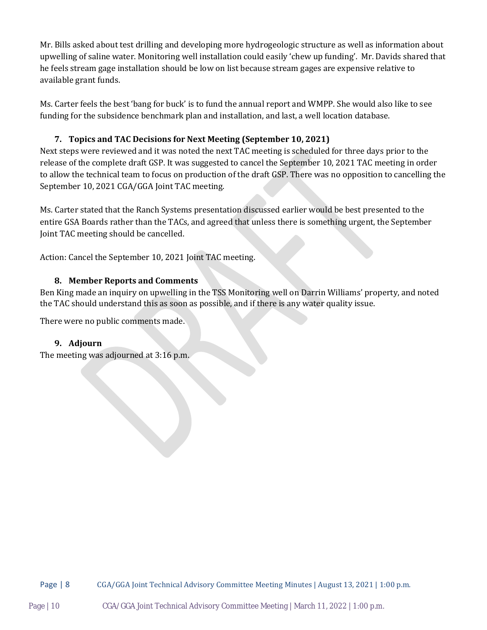Mr. Bills asked about test drilling and developing more hydrogeologic structure as well as information about upwelling of saline water. Monitoring well installation could easily 'chew up funding'. Mr. Davids shared that he feels stream gage installation should be low on list because stream gages are expensive relative to available grant funds.

Ms. Carter feels the best 'bang for buck' is to fund the annual report and WMPP. She would also like to see funding for the subsidence benchmark plan and installation, and last, a well location database.

#### **7. Topics and TAC Decisions for Next Meeting (September 10, 2021)**

Next steps were reviewed and it was noted the next TAC meeting is scheduled for three days prior to the release of the complete draft GSP. It was suggested to cancel the September 10, 2021 TAC meeting in order to allow the technical team to focus on production of the draft GSP. There was no opposition to cancelling the September 10, 2021 CGA/GGA Joint TAC meeting.

Ms. Carter stated that the Ranch Systems presentation discussed earlier would be best presented to the entire GSA Boards rather than the TACs, and agreed that unless there is something urgent, the September Joint TAC meeting should be cancelled.

Action: Cancel the September 10, 2021 Joint TAC meeting.

#### **8. Member Reports and Comments**

Ben King made an inquiry on upwelling in the TSS Monitoring well on Darrin Williams' property, and noted the TAC should understand this as soon as possible, and if there is any water quality issue.

There were no public comments made.

#### **9. Adjourn**

The meeting was adjourned at 3:16 p.m.